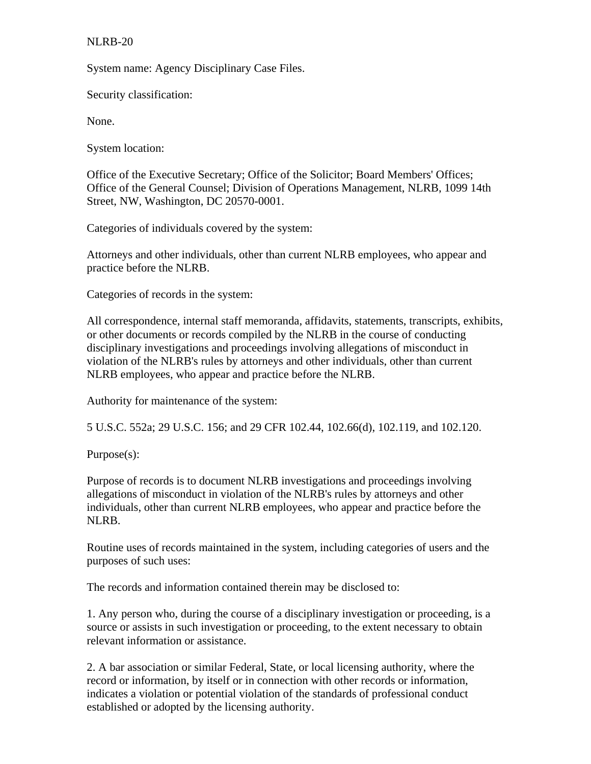## NLRB-20

System name: Agency Disciplinary Case Files.

Security classification:

None.

System location:

Office of the Executive Secretary; Office of the Solicitor; Board Members' Offices; Office of the General Counsel; Division of Operations Management, NLRB, 1099 14th Street, NW, Washington, DC 20570-0001.

Categories of individuals covered by the system:

Attorneys and other individuals, other than current NLRB employees, who appear and practice before the NLRB.

Categories of records in the system:

All correspondence, internal staff memoranda, affidavits, statements, transcripts, exhibits, or other documents or records compiled by the NLRB in the course of conducting disciplinary investigations and proceedings involving allegations of misconduct in violation of the NLRB's rules by attorneys and other individuals, other than current NLRB employees, who appear and practice before the NLRB.

Authority for maintenance of the system:

5 U.S.C. 552a; 29 U.S.C. 156; and 29 CFR 102.44, 102.66(d), 102.119, and 102.120.

Purpose(s):

Purpose of records is to document NLRB investigations and proceedings involving allegations of misconduct in violation of the NLRB's rules by attorneys and other individuals, other than current NLRB employees, who appear and practice before the NLRB.

Routine uses of records maintained in the system, including categories of users and the purposes of such uses:

The records and information contained therein may be disclosed to:

1. Any person who, during the course of a disciplinary investigation or proceeding, is a source or assists in such investigation or proceeding, to the extent necessary to obtain relevant information or assistance.

2. A bar association or similar Federal, State, or local licensing authority, where the record or information, by itself or in connection with other records or information, indicates a violation or potential violation of the standards of professional conduct established or adopted by the licensing authority.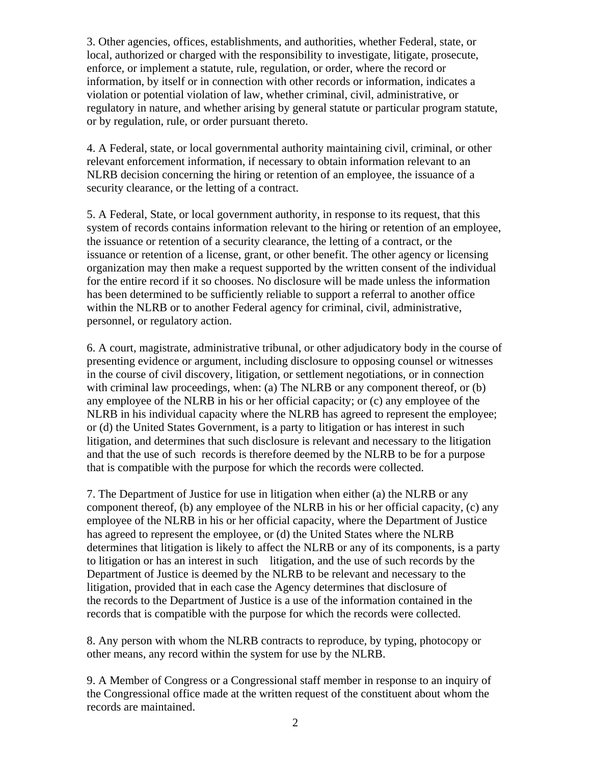3. Other agencies, offices, establishments, and authorities, whether Federal, state, or local, authorized or charged with the responsibility to investigate, litigate, prosecute, enforce, or implement a statute, rule, regulation, or order, where the record or information, by itself or in connection with other records or information, indicates a violation or potential violation of law, whether criminal, civil, administrative, or regulatory in nature, and whether arising by general statute or particular program statute, or by regulation, rule, or order pursuant thereto.

4. A Federal, state, or local governmental authority maintaining civil, criminal, or other relevant enforcement information, if necessary to obtain information relevant to an NLRB decision concerning the hiring or retention of an employee, the issuance of a security clearance, or the letting of a contract.

5. A Federal, State, or local government authority, in response to its request, that this system of records contains information relevant to the hiring or retention of an employee, the issuance or retention of a security clearance, the letting of a contract, or the issuance or retention of a license, grant, or other benefit. The other agency or licensing organization may then make a request supported by the written consent of the individual for the entire record if it so chooses. No disclosure will be made unless the information has been determined to be sufficiently reliable to support a referral to another office within the NLRB or to another Federal agency for criminal, civil, administrative, personnel, or regulatory action.

6. A court, magistrate, administrative tribunal, or other adjudicatory body in the course of presenting evidence or argument, including disclosure to opposing counsel or witnesses in the course of civil discovery, litigation, or settlement negotiations, or in connection with criminal law proceedings, when: (a) The NLRB or any component thereof, or (b) any employee of the NLRB in his or her official capacity; or (c) any employee of the NLRB in his individual capacity where the NLRB has agreed to represent the employee; or (d) the United States Government, is a party to litigation or has interest in such litigation, and determines that such disclosure is relevant and necessary to the litigation and that the use of such records is therefore deemed by the NLRB to be for a purpose that is compatible with the purpose for which the records were collected.

7. The Department of Justice for use in litigation when either (a) the NLRB or any component thereof, (b) any employee of the NLRB in his or her official capacity, (c) any employee of the NLRB in his or her official capacity, where the Department of Justice has agreed to represent the employee, or (d) the United States where the NLRB determines that litigation is likely to affect the NLRB or any of its components, is a party to litigation or has an interest in such litigation, and the use of such records by the Department of Justice is deemed by the NLRB to be relevant and necessary to the litigation, provided that in each case the Agency determines that disclosure of the records to the Department of Justice is a use of the information contained in the records that is compatible with the purpose for which the records were collected.

8. Any person with whom the NLRB contracts to reproduce, by typing, photocopy or other means, any record within the system for use by the NLRB.

9. A Member of Congress or a Congressional staff member in response to an inquiry of the Congressional office made at the written request of the constituent about whom the records are maintained.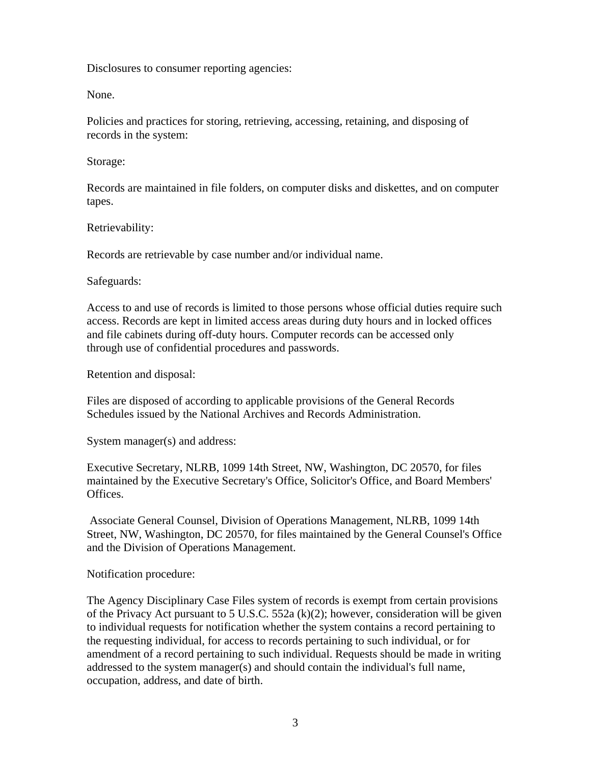Disclosures to consumer reporting agencies:

None.

Policies and practices for storing, retrieving, accessing, retaining, and disposing of records in the system:

Storage:

Records are maintained in file folders, on computer disks and diskettes, and on computer tapes.

Retrievability:

Records are retrievable by case number and/or individual name.

Safeguards:

Access to and use of records is limited to those persons whose official duties require such access. Records are kept in limited access areas during duty hours and in locked offices and file cabinets during off-duty hours. Computer records can be accessed only through use of confidential procedures and passwords.

Retention and disposal:

Files are disposed of according to applicable provisions of the General Records Schedules issued by the National Archives and Records Administration.

System manager(s) and address:

Executive Secretary, NLRB, 1099 14th Street, NW, Washington, DC 20570, for files maintained by the Executive Secretary's Office, Solicitor's Office, and Board Members' Offices.

 Associate General Counsel, Division of Operations Management, NLRB, 1099 14th Street, NW, Washington, DC 20570, for files maintained by the General Counsel's Office and the Division of Operations Management.

Notification procedure:

The Agency Disciplinary Case Files system of records is exempt from certain provisions of the Privacy Act pursuant to 5 U.S.C. 552a (k)(2); however, consideration will be given to individual requests for notification whether the system contains a record pertaining to the requesting individual, for access to records pertaining to such individual, or for amendment of a record pertaining to such individual. Requests should be made in writing addressed to the system manager(s) and should contain the individual's full name, occupation, address, and date of birth.